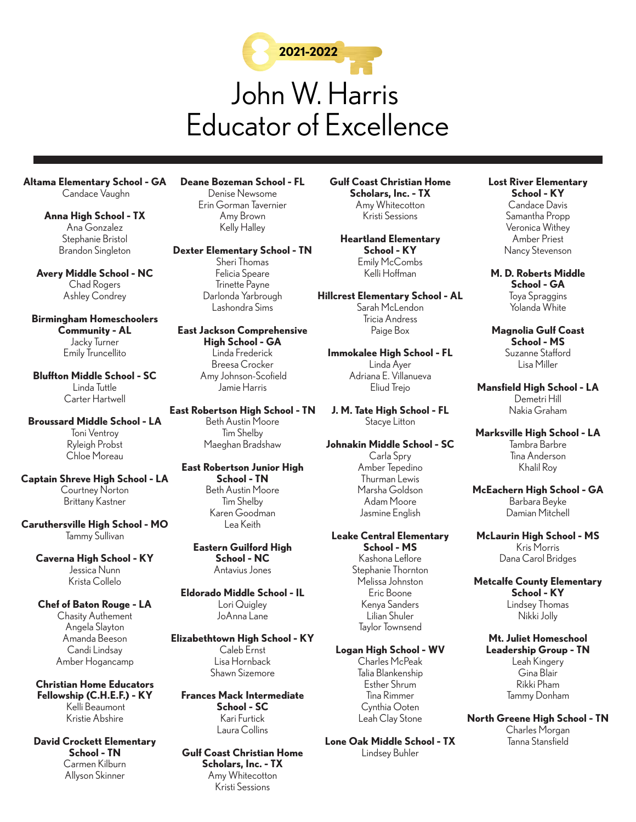

**Altama Elementary School - GA** Candace Vaughn

> **Anna High School - TX** Ana Gonzalez Stephanie Bristol Brandon Singleton

**Avery Middle School - NC** Chad Rogers Ashley Condrey

**Birmingham Homeschoolers Community - AL** Jacky Turner Emily Truncellito

**Bluffton Middle School - SC** Linda Tuttle Carter Hartwell

**Broussard Middle School - LA**  Toni Ventroy Ryleigh Probst Chloe Moreau

**Captain Shreve High School - LA** Courtney Norton Brittany Kastner

**Caruthersville High School - MO**  Tammy Sullivan

**Caverna High School - KY** Jessica Nunn Krista Collelo

**Chef of Baton Rouge - LA** Chasity Authement Angela Slayton Amanda Beeson Candi Lindsay Amber Hogancamp

**Christian Home Educators Fellowship (C.H.E.F.) - KY** Kelli Beaumont Kristie Abshire

**David Crockett Elementary School - TN**  Carmen Kilburn Allyson Skinner

**Deane Bozeman School - FL**  Denise Newsome Erin Gorman Tavernier Amy Brown Kelly Halley

**Dexter Elementary School - TN**

Sheri Thomas Felicia Speare Trinette Payne Darlonda Yarbrough Lashondra Sims

**East Jackson Comprehensive High School - GA** Linda Frederick Breesa Crocker Amy Johnson-Scofield Jamie Harris

**East Robertson High School - TN**  Beth Austin Moore Tim Shelby Maeghan Bradshaw

**East Robertson Junior High School - TN** Beth Austin Moore Tim Shelby Karen Goodman Lea Keith

**Eastern Guilford High School - NC** Antavius Jones

**Eldorado Middle School - IL**  Lori Quigley JoAnna Lane

**Elizabethtown High School - KY** Caleb Ernst Lisa Hornback Shawn Sizemore

**Frances Mack Intermediate School - SC** Kari Furtick Laura Collins

**Gulf Coast Christian Home Scholars, Inc. - TX** Amy Whitecotton Kristi Sessions

**Gulf Coast Christian Home Scholars, Inc. - TX** Amy Whitecotton Kristi Sessions

**Heartland Elementary School - KY** Emily McCombs Kelli Hoffman

**Hillcrest Elementary School - AL** Sarah McLendon Tricia Andress Paige Box

**Immokalee High School - FL**  Linda Ayer Adriana E. Villanueva Eliud Trejo

**J. M. Tate High School - FL**  Stacye Litton

**Johnakin Middle School - SC**  Carla Spry Amber Tepedino Thurman Lewis Marsha Goldson Adam Moore Jasmine English

**Leake Central Elementary School - MS** Kashona Leflore Stephanie Thornton Melissa Johnston Eric Boone Kenya Sanders Lilian Shuler Taylor Townsend

**Logan High School - WV** Charles McPeak Talia Blankenship Esther Shrum Tina Rimmer Cynthia Ooten

**Lone Oak Middle School - TX**  Lindsey Buhler

Leah Clay Stone

**Lost River Elementary School - KY** Candace Davis Samantha Propp Veronica Withey Amber Priest Nancy Stevenson

**M. D. Roberts Middle School - GA** Toya Spraggins Yolanda White

**Magnolia Gulf Coast School - MS** Suzanne Stafford Lisa Miller

**Mansfield High School - LA**  Demetri Hill Nakia Graham

**Marksville High School - LA**  Tambra Barbre Tina Anderson Khalil Roy

**McEachern High School - GA**  Barbara Beyke Damian Mitchell

**McLaurin High School - MS** Kris Morris Dana Carol Bridges

**Metcalfe County Elementary School - KY** Lindsey Thomas Nikki Jolly

**Mt. Juliet Homeschool Leadership Group - TN** Leah Kingery Gina Blair Rikki Pham Tammy Donham

**North Greene High School - TN**  Charles Morgan Tanna Stansfield